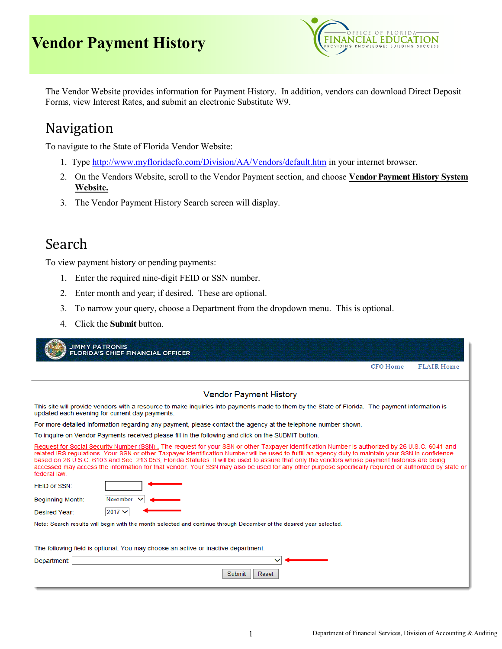

The Vendor Website provides information for Payment History. In addition, vendors can download Direct Deposit Forms, view Interest Rates, and submit an electronic Substitute W9.

## Navigation

To navigate to the State of Florida Vendor Website:

- 1. Type <http://www.myfloridacfo.com/Division/AA/Vendors/default.htm> in your internet browser.
- 2. On the Vendors Website, scroll to the Vendor Payment section, and choose **Vendor Payment History System Website.**
- 3. The Vendor Payment History Search screen will display.

## Search

To view payment history or pending payments:

- 1. Enter the required nine-digit FEID or SSN number.
- 2. Enter month and year; if desired. These are optional.
- 3. To narrow your query, choose a Department from the dropdown menu. This is optional.
- 4. Click the **Submit** button.

| <b>JIMMY PATRONIS</b>   | <b>FLORIDA'S CHIEF FINANCIAL OFFICER</b>                                                                                                                                                                                                                                                                                                                                                                                                                                                                                                                                                                       |
|-------------------------|----------------------------------------------------------------------------------------------------------------------------------------------------------------------------------------------------------------------------------------------------------------------------------------------------------------------------------------------------------------------------------------------------------------------------------------------------------------------------------------------------------------------------------------------------------------------------------------------------------------|
|                         | <b>CFO</b> Home<br><b>FLAIR Home</b>                                                                                                                                                                                                                                                                                                                                                                                                                                                                                                                                                                           |
|                         | <b>Vendor Payment History</b>                                                                                                                                                                                                                                                                                                                                                                                                                                                                                                                                                                                  |
|                         | This site will provide vendors with a resource to make inquiries into payments made to them by the State of Florida. The payment information is<br>updated each evening for current day payments.                                                                                                                                                                                                                                                                                                                                                                                                              |
|                         | For more detailed information regarding any payment, please contact the agency at the telephone number shown.                                                                                                                                                                                                                                                                                                                                                                                                                                                                                                  |
|                         | To inquire on Vendor Payments received please fill in the following and click on the SUBMIT button.                                                                                                                                                                                                                                                                                                                                                                                                                                                                                                            |
| federal law.            | Request for Social Security Number (SSN). The request for your SSN or other Taxpayer Identification Number is authorized by 26 U.S.C. 6041 and<br>related IRS regulations. Your SSN or other Taxpayer Identification Number will be used to fulfill an agency duty to maintain your SSN in confidence<br>based on 26 U.S.C. 6103 and Sec. 213.053. Florida Statutes, It will be used to assure that only the vendors whose payment histories are being<br>accessed may access the information for that vendor. Your SSN may also be used for any other purpose specifically required or authorized by state or |
| FEID or SSN:            |                                                                                                                                                                                                                                                                                                                                                                                                                                                                                                                                                                                                                |
| <b>Beginning Month:</b> | November                                                                                                                                                                                                                                                                                                                                                                                                                                                                                                                                                                                                       |
| Desired Year:           | 2017 V                                                                                                                                                                                                                                                                                                                                                                                                                                                                                                                                                                                                         |
|                         | Note: Search results will begin with the month selected and continue through December of the desired year selected.                                                                                                                                                                                                                                                                                                                                                                                                                                                                                            |
|                         | The following field is optional. You may choose an active or inactive department.                                                                                                                                                                                                                                                                                                                                                                                                                                                                                                                              |
| Department:             |                                                                                                                                                                                                                                                                                                                                                                                                                                                                                                                                                                                                                |
|                         | Reset<br>Submit                                                                                                                                                                                                                                                                                                                                                                                                                                                                                                                                                                                                |